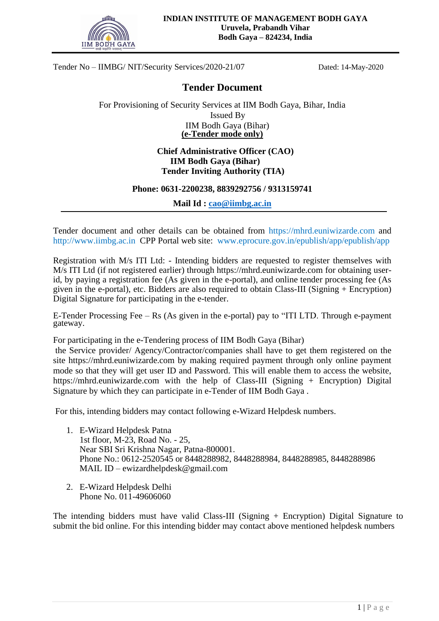

## **Tender Document**

For Provisioning of Security Services at IIM Bodh Gaya, Bihar, India Issued By IIM Bodh Gaya (Bihar) **(e-Tender mode only)**

## **Chief Administrative Officer (CAO) IIM Bodh Gaya (Bihar) Tender Inviting Authority (TIA)**

## **Phone: 0631-2200238, 8839292756 / 9313159741**

**Mail Id : [cao@iimbg.ac.in](mailto:cao@iimbg.ac.in)**

Tender document and other details can be obtained from [https://mhrd.euniwizarde.com](https://mhrd.euniwizarde.com/) and http://www.iimbg.ac.in CPP Portal web site: [www.eprocure.gov.in/epublish/app/epublish/app](http://www.eprocure.gov.in/epublish/app/epublish/app)

Registration with M/s ITI Ltd: - Intending bidders are requested to register themselves with M/s ITI Ltd (if not registered earlier) through https://mhrd.euniwizarde.com for obtaining userid, by paying a registration fee (As given in the e-portal), and online tender processing fee (As given in the e-portal), etc. Bidders are also required to obtain Class-III (Signing + Encryption) Digital Signature for participating in the e-tender.

E-Tender Processing Fee – Rs (As given in the e-portal) pay to "ITI LTD. Through e-payment gateway.

For participating in the e-Tendering process of IIM Bodh Gaya (Bihar)

the Service provider/ Agency/Contractor/companies shall have to get them registered on the site https://mhrd.euniwizarde.com by making required payment through only online payment mode so that they will get user ID and Password. This will enable them to access the website, https://mhrd.euniwizarde.com with the help of Class-III (Signing + Encryption) Digital Signature by which they can participate in e-Tender of IIM Bodh Gaya .

For this, intending bidders may contact following e-Wizard Helpdesk numbers.

- 1. E-Wizard Helpdesk Patna 1st floor, M-23, Road No. - 25, Near SBI Sri Krishna Nagar, Patna-800001. Phone No.: 0612-2520545 or 8448288982, 8448288984, 8448288985, 8448288986 MAIL ID – [ewizardhelpdesk@gmail.com](mailto:ewizardhelpdesk@gmail.com)
- 2. E-Wizard Helpdesk Delhi Phone No. 011-49606060

The intending bidders must have valid Class-III (Signing + Encryption) Digital Signature to submit the bid online. For this intending bidder may contact above mentioned helpdesk numbers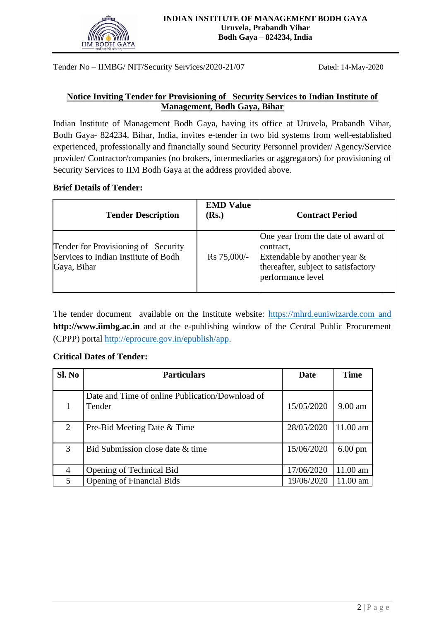

## **Notice Inviting Tender for Provisioning of Security Services to Indian Institute of Management, Bodh Gaya, Bihar**

Indian Institute of Management Bodh Gaya, having its office at Uruvela, Prabandh Vihar, Bodh Gaya- 824234, Bihar, India, invites e-tender in two bid systems from well-established experienced, professionally and financially sound Security Personnel provider/ Agency/Service provider/ Contractor/companies (no brokers, intermediaries or aggregators) for provisioning of Security Services to IIM Bodh Gaya at the address provided above.

#### **Brief Details of Tender:**

| <b>Tender Description</b>                                                                  | <b>EMD Value</b><br>(Rs.) | <b>Contract Period</b>                                                                                                                         |
|--------------------------------------------------------------------------------------------|---------------------------|------------------------------------------------------------------------------------------------------------------------------------------------|
| Tender for Provisioning of Security<br>Services to Indian Institute of Bodh<br>Gaya, Bihar | Rs 75,000/-               | One year from the date of award of<br>contract,<br>Extendable by another year $\&$<br>thereafter, subject to satisfactory<br>performance level |

The tender document available on the Institute website: [https://mhrd.euniwizarde.com](https://mhrd.euniwizarde.com/) and **http://www.iimbg.ac.in** and at the e-publishing window of the Central Public Procurement (CPPP) portal http://eprocure.gov.in/epublish/app.

#### **Critical Dates of Tender:**

| Sl. No | <b>Particulars</b>                                        | Date       | <b>Time</b>       |
|--------|-----------------------------------------------------------|------------|-------------------|
|        | Date and Time of online Publication/Download of<br>Tender | 15/05/2020 | $9.00$ am         |
| 2      | Pre-Bid Meeting Date & Time                               | 28/05/2020 | $11.00$ am        |
| 3      | Bid Submission close date & time                          | 15/06/2020 | $6.00 \text{ pm}$ |
| 4      | Opening of Technical Bid                                  | 17/06/2020 | 11.00 am          |
| 5      | <b>Opening of Financial Bids</b>                          | 19/06/2020 | 11.00 am          |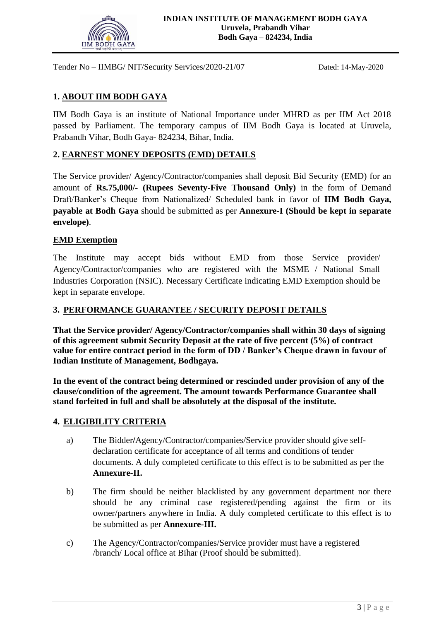

## **1. ABOUT IIM BODH GAYA**

IIM Bodh Gaya is an institute of National Importance under MHRD as per IIM Act 2018 passed by Parliament. The temporary campus of IIM Bodh Gaya is located at Uruvela, Prabandh Vihar, Bodh Gaya- 824234, Bihar, India.

#### **2. EARNEST MONEY DEPOSITS (EMD) DETAILS**

The Service provider/ Agency/Contractor/companies shall deposit Bid Security (EMD) for an amount of **Rs.75,000/- (Rupees Seventy-Five Thousand Only)** in the form of Demand Draft/Banker's Cheque from Nationalized/ Scheduled bank in favor of **IIM Bodh Gaya, payable at Bodh Gaya** should be submitted as per **Annexure-I (Should be kept in separate envelope)**.

#### **EMD Exemption**

The Institute may accept bids without EMD from those Service provider/ Agency/Contractor/companies who are registered with the MSME / National Small Industries Corporation (NSIC). Necessary Certificate indicating EMD Exemption should be kept in separate envelope.

#### **3. PERFORMANCE GUARANTEE / SECURITY DEPOSIT DETAILS**

**That the Service provider/ Agency/Contractor/companies shall within 30 days of signing of this agreement submit Security Deposit at the rate of five percent (5%) of contract value for entire contract period in the form of DD / Banker's Cheque drawn in favour of Indian Institute of Management, Bodhgaya.**

**In the event of the contract being determined or rescinded under provision of any of the clause/condition of the agreement. The amount towards Performance Guarantee shall stand forfeited in full and shall be absolutely at the disposal of the institute.**

#### **4. ELIGIBILITY CRITERIA**

- a) The Bidder**/**Agency/Contractor/companies/Service provider should give selfdeclaration certificate for acceptance of all terms and conditions of tender documents. A duly completed certificate to this effect is to be submitted as per the **Annexure-II.**
- b) The firm should be neither blacklisted by any government department nor there should be any criminal case registered/pending against the firm or its owner/partners anywhere in India. A duly completed certificate to this effect is to be submitted as per **Annexure-III.**
- c) The Agency/Contractor/companies/Service provider must have a registered /branch/ Local office at Bihar (Proof should be submitted).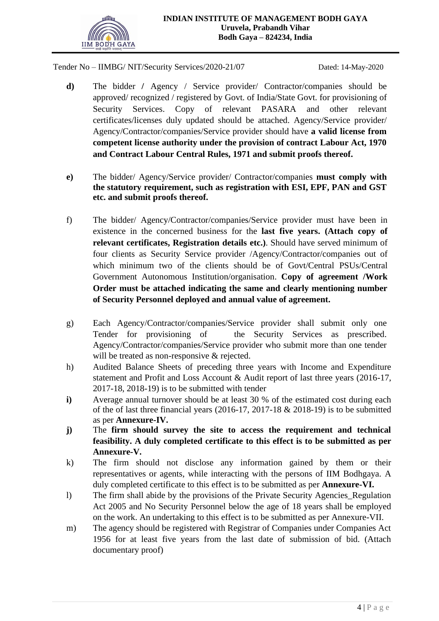

- **d)** The bidder **/** Agency / Service provider/ Contractor/companies should be approved/ recognized / registered by Govt. of India/State Govt. for provisioning of Security Services. Copy of relevant PASARA and other relevant certificates/licenses duly updated should be attached. Agency/Service provider/ Agency/Contractor/companies/Service provider should have **a valid license from competent license authority under the provision of contract Labour Act, 1970 and Contract Labour Central Rules, 1971 and submit proofs thereof.**
- **e)** The bidder/ Agency/Service provider/ Contractor/companies **must comply with the statutory requirement, such as registration with ESI, EPF, PAN and GST etc. and submit proofs thereof.**
- f) The bidder/ Agency/Contractor/companies/Service provider must have been in existence in the concerned business for the **last five years. (Attach copy of relevant certificates, Registration details etc.)**. Should have served minimum of four clients as Security Service provider /Agency/Contractor/companies out of which minimum two of the clients should be of Govt/Central PSUs/Central Government Autonomous Institution/organisation. **Copy of agreement /Work Order must be attached indicating the same and clearly mentioning number of Security Personnel deployed and annual value of agreement.**
- g) Each Agency/Contractor/companies/Service provider shall submit only one Tender for provisioning of the Security Services as prescribed. Agency/Contractor/companies/Service provider who submit more than one tender will be treated as non-responsive & rejected.
- h) Audited Balance Sheets of preceding three years with Income and Expenditure statement and Profit and Loss Account & Audit report of last three years (2016-17, 2017-18, 2018-19) is to be submitted with tender
- **i**) Average annual turnover should be at least 30 % of the estimated cost during each of the of last three financial years (2016-17, 2017-18 & 2018-19) is to be submitted as per **Annexure-IV.**
- **j)** The **firm should survey the site to access the requirement and technical feasibility. A duly completed certificate to this effect is to be submitted as per Annexure-V.**
- k) The firm should not disclose any information gained by them or their representatives or agents, while interacting with the persons of IIM Bodhgaya. A duly completed certificate to this effect is to be submitted as per **Annexure-VI.**
- l) The firm shall abide by the provisions of the Private Security Agencies\_Regulation Act 2005 and No Security Personnel below the age of 18 years shall be employed on the work. An undertaking to this effect is to be submitted as per Annexure-VII.
- m) The agency should be registered with Registrar of Companies under Companies Act 1956 for at least five years from the last date of submission of bid. (Attach documentary proof)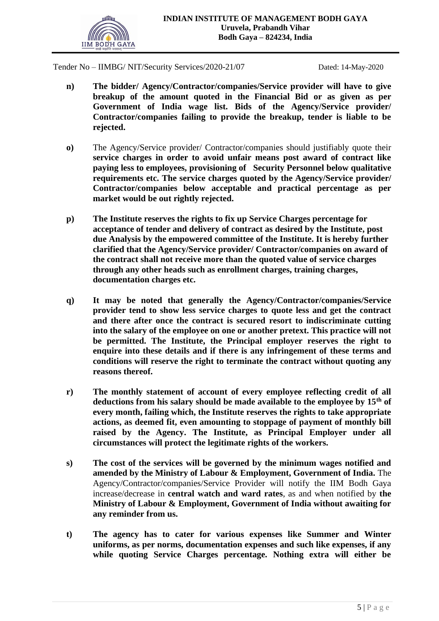

- **n) The bidder/ Agency/Contractor/companies/Service provider will have to give breakup of the amount quoted in the Financial Bid or as given as per Government of India wage list. Bids of the Agency/Service provider/ Contractor/companies failing to provide the breakup, tender is liable to be rejected.**
- **o)** The Agency/Service provider/ Contractor/companies should justifiably quote their **service charges in order to avoid unfair means post award of contract like paying less to employees, provisioning of Security Personnel below qualitative requirements etc. The service charges quoted by the Agency/Service provider/ Contractor/companies below acceptable and practical percentage as per market would be out rightly rejected.**
- **p) The Institute reserves the rights to fix up Service Charges percentage for acceptance of tender and delivery of contract as desired by the Institute, post due Analysis by the empowered committee of the Institute. It is hereby further clarified that the Agency/Service provider/ Contractor/companies on award of the contract shall not receive more than the quoted value of service charges through any other heads such as enrollment charges, training charges, documentation charges etc.**
- **q) It may be noted that generally the Agency/Contractor/companies/Service provider tend to show less service charges to quote less and get the contract and there after once the contract is secured resort to indiscriminate cutting into the salary of the employee on one or another pretext. This practice will not be permitted. The Institute, the Principal employer reserves the right to enquire into these details and if there is any infringement of these terms and conditions will reserve the right to terminate the contract without quoting any reasons thereof.**
- **r) The monthly statement of account of every employee reflecting credit of all deductions from his salary should be made available to the employee by 15th of every month, failing which, the Institute reserves the rights to take appropriate actions, as deemed fit, even amounting to stoppage of payment of monthly bill raised by the Agency. The Institute, as Principal Employer under all circumstances will protect the legitimate rights of the workers.**
- **s) The cost of the services will be governed by the minimum wages notified and amended by the Ministry of Labour & Employment, Government of India.** The Agency/Contractor/companies/Service Provider will notify the IIM Bodh Gaya increase/decrease in **central watch and ward rates**, as and when notified by **the Ministry of Labour & Employment, Government of India without awaiting for any reminder from us.**
- **t) The agency has to cater for various expenses like Summer and Winter uniforms, as per norms, documentation expenses and such like expenses, if any while quoting Service Charges percentage. Nothing extra will either be**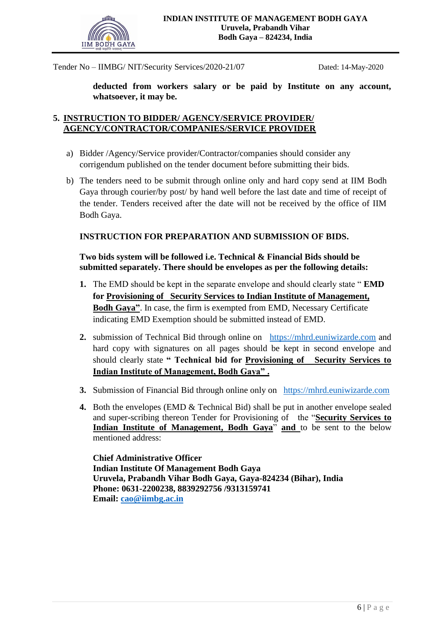

**deducted from workers salary or be paid by Institute on any account, whatsoever, it may be.** 

## **5. INSTRUCTION TO BIDDER/ AGENCY/SERVICE PROVIDER/ AGENCY/CONTRACTOR/COMPANIES/SERVICE PROVIDER**

- a) Bidder /Agency/Service provider/Contractor/companies should consider any corrigendum published on the tender document before submitting their bids.
- b) The tenders need to be submit through online only and hard copy send at IIM Bodh Gaya through courier/by post/ by hand well before the last date and time of receipt of the tender. Tenders received after the date will not be received by the office of IIM Bodh Gaya.

## **INSTRUCTION FOR PREPARATION AND SUBMISSION OF BIDS.**

#### **Two bids system will be followed i.e. Technical & Financial Bids should be submitted separately. There should be envelopes as per the following details:**

- **1.** The EMD should be kept in the separate envelope and should clearly state " **EMD for Provisioning of Security Services to Indian Institute of Management, Bodh Gaya"**. In case, the firm is exempted from EMD, Necessary Certificate indicating EMD Exemption should be submitted instead of EMD.
- **2.** submission of Technical Bid through online on [https://mhrd.euniwizarde.com](https://mhrd.euniwizarde.com/) and hard copy with signatures on all pages should be kept in second envelope and should clearly state **" Technical bid for Provisioning of Security Services to Indian Institute of Management, Bodh Gaya" .**
- **3.** Submission of Financial Bid through online only on [https://mhrd.euniwizarde.com](https://mhrd.euniwizarde.com/)
- **4.** Both the envelopes (EMD & Technical Bid) shall be put in another envelope sealed and super-scribing thereon Tender for Provisioning of the "**Security Services to Indian Institute of Management, Bodh Gaya**" **and** to be sent to the below mentioned address:

**Chief Administrative Officer Indian Institute Of Management Bodh Gaya Uruvela, Prabandh Vihar Bodh Gaya, Gaya-824234 (Bihar), India Phone: 0631-2200238, 8839292756 /9313159741 Email: [cao@iimbg.ac.in](mailto:cao@iimbg.ac.in)**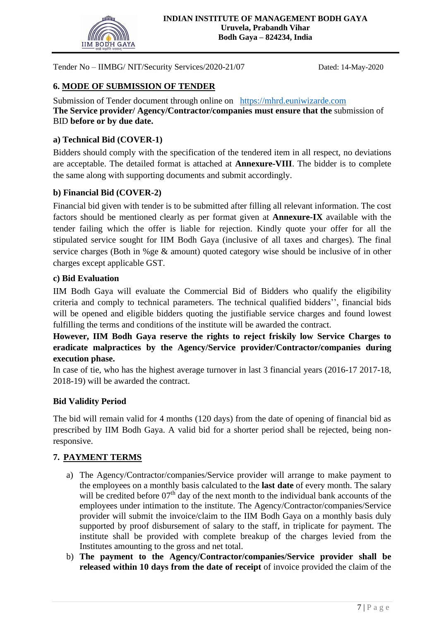

## **6. MODE OF SUBMISSION OF TENDER**

Submission of Tender document through online on [https://mhrd.euniwizarde.com](https://mhrd.euniwizarde.com/) **The Service provider/ Agency/Contractor/companies must ensure that the** submission of BID **before or by due date.**

#### **a) Technical Bid (COVER-1)**

Bidders should comply with the specification of the tendered item in all respect, no deviations are acceptable. The detailed format is attached at **Annexure-VIII**. The bidder is to complete the same along with supporting documents and submit accordingly.

## **b) Financial Bid (COVER-2)**

Financial bid given with tender is to be submitted after filling all relevant information. The cost factors should be mentioned clearly as per format given at **Annexure-IX** available with the tender failing which the offer is liable for rejection. Kindly quote your offer for all the stipulated service sought for IIM Bodh Gaya (inclusive of all taxes and charges). The final service charges (Both in %ge & amount) quoted category wise should be inclusive of in other charges except applicable GST.

#### **c) Bid Evaluation**

IIM Bodh Gaya will evaluate the Commercial Bid of Bidders who qualify the eligibility criteria and comply to technical parameters. The technical qualified bidders'', financial bids will be opened and eligible bidders quoting the justifiable service charges and found lowest fulfilling the terms and conditions of the institute will be awarded the contract.

**However, IIM Bodh Gaya reserve the rights to reject friskily low Service Charges to eradicate malpractices by the Agency/Service provider/Contractor/companies during execution phase.**

In case of tie, who has the highest average turnover in last 3 financial years (2016-17 2017-18, 2018-19) will be awarded the contract.

#### **Bid Validity Period**

The bid will remain valid for 4 months (120 days) from the date of opening of financial bid as prescribed by IIM Bodh Gaya. A valid bid for a shorter period shall be rejected, being nonresponsive.

## **7. PAYMENT TERMS**

- a) The Agency/Contractor/companies/Service provider will arrange to make payment to the employees on a monthly basis calculated to the **last date** of every month. The salary will be credited before 07<sup>th</sup> day of the next month to the individual bank accounts of the employees under intimation to the institute. The Agency/Contractor/companies/Service provider will submit the invoice/claim to the IIM Bodh Gaya on a monthly basis duly supported by proof disbursement of salary to the staff, in triplicate for payment. The institute shall be provided with complete breakup of the charges levied from the Institutes amounting to the gross and net total.
- b) **The payment to the Agency/Contractor/companies/Service provider shall be released within 10 days from the date of receipt** of invoice provided the claim of the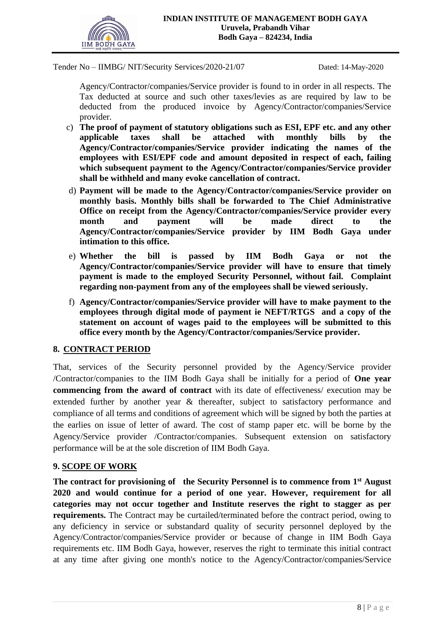

Agency/Contractor/companies/Service provider is found to in order in all respects. The Tax deducted at source and such other taxes/levies as are required by law to be deducted from the produced invoice by Agency/Contractor/companies/Service provider.

- c) **The proof of payment of statutory obligations such as ESI, EPF etc. and any other applicable taxes shall be attached with monthly bills by the Agency/Contractor/companies/Service provider indicating the names of the employees with ESI/EPF code and amount deposited in respect of each, failing which subsequent payment to the Agency/Contractor/companies/Service provider shall be withheld and many evoke cancellation of contract.**
- d) **Payment will be made to the Agency/Contractor/companies/Service provider on monthly basis. Monthly bills shall be forwarded to The Chief Administrative Office on receipt from the Agency/Contractor/companies/Service provider every month and payment will be made direct to the Agency/Contractor/companies/Service provider by IIM Bodh Gaya under intimation to this office.**
- e) **Whether the bill is passed by IIM Bodh Gaya or not the Agency/Contractor/companies/Service provider will have to ensure that timely payment is made to the employed Security Personnel, without fail. Complaint regarding non-payment from any of the employees shall be viewed seriously.**
- f) **Agency/Contractor/companies/Service provider will have to make payment to the employees through digital mode of payment ie NEFT/RTGS and a copy of the statement on account of wages paid to the employees will be submitted to this office every month by the Agency/Contractor/companies/Service provider.**

#### **8. CONTRACT PERIOD**

That, services of the Security personnel provided by the Agency/Service provider /Contractor/companies to the IIM Bodh Gaya shall be initially for a period of **One year commencing from the award of contract** with its date of effectiveness/ execution may be extended further by another year & thereafter, subject to satisfactory performance and compliance of all terms and conditions of agreement which will be signed by both the parties at the earlies on issue of letter of award. The cost of stamp paper etc. will be borne by the Agency/Service provider /Contractor/companies. Subsequent extension on satisfactory performance will be at the sole discretion of IIM Bodh Gaya.

#### **9. SCOPE OF WORK**

**The contract for provisioning of the Security Personnel is to commence from 1st August 2020 and would continue for a period of one year. However, requirement for all categories may not occur together and Institute reserves the right to stagger as per requirements.** The Contract may be curtailed/terminated before the contract period, owing to any deficiency in service or substandard quality of security personnel deployed by the Agency/Contractor/companies/Service provider or because of change in IIM Bodh Gaya requirements etc. IIM Bodh Gaya, however, reserves the right to terminate this initial contract at any time after giving one month's notice to the Agency/Contractor/companies/Service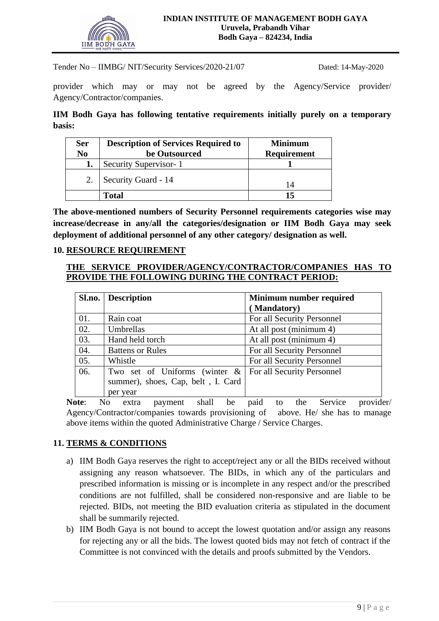

provider which may or may not be agreed by the Agency/Service provider/ Agency/Contractor/companies.

**IIM Bodh Gaya has following tentative requirements initially purely on a temporary basis:**

| <b>Ser</b><br>No | <b>Description of Services Required to</b><br>be Outsourced | <b>Minimum</b><br><b>Requirement</b> |
|------------------|-------------------------------------------------------------|--------------------------------------|
|                  | Security Supervisor-1                                       |                                      |
|                  | Security Guard - 14                                         | 14                                   |
|                  | Total                                                       | 15                                   |

**The above-mentioned numbers of Security Personnel requirements categories wise may increase/decrease in any/all the categories/designation or IIM Bodh Gaya may seek deployment of additional personnel of any other category/ designation as well.**

#### **10. RESOURCE REQUIREMENT**

#### **THE SERVICE PROVIDER/AGENCY/CONTRACTOR/COMPANIES HAS TO PROVIDE THE FOLLOWING DURING THE CONTRACT PERIOD:**

|     | <b>Sl.no.</b> Description          | Minimum number required    |  |
|-----|------------------------------------|----------------------------|--|
|     |                                    | (Mandatory)                |  |
| 01. | Rain coat                          | For all Security Personnel |  |
| 02. | Umbrellas                          | At all post (minimum 4)    |  |
| 03. | Hand held torch                    | At all post (minimum 4)    |  |
| 04. | <b>Battens or Rules</b>            | For all Security Personnel |  |
| 05. | Whistle                            | For all Security Personnel |  |
| 06. | Two set of Uniforms (winter $\&$   | For all Security Personnel |  |
|     | summer), shoes, Cap, belt, I. Card |                            |  |
|     | per year                           |                            |  |

**Note**: No extra payment shall be paid to the Service provider/ Agency/Contractor/companies towards provisioning of above. He/ she has to manage above items within the quoted Administrative Charge / Service Charges.

#### **11. TERMS & CONDITIONS**

- a) IIM Bodh Gaya reserves the right to accept/reject any or all the BIDs received without assigning any reason whatsoever. The BIDs, in which any of the particulars and prescribed information is missing or is incomplete in any respect and/or the prescribed conditions are not fulfilled, shall be considered non-responsive and are liable to be rejected. BIDs, not meeting the BID evaluation criteria as stipulated in the document shall be summarily rejected.
- b) IIM Bodh Gaya is not bound to accept the lowest quotation and/or assign any reasons for rejecting any or all the bids. The lowest quoted bids may not fetch of contract if the Committee is not convinced with the details and proofs submitted by the Vendors.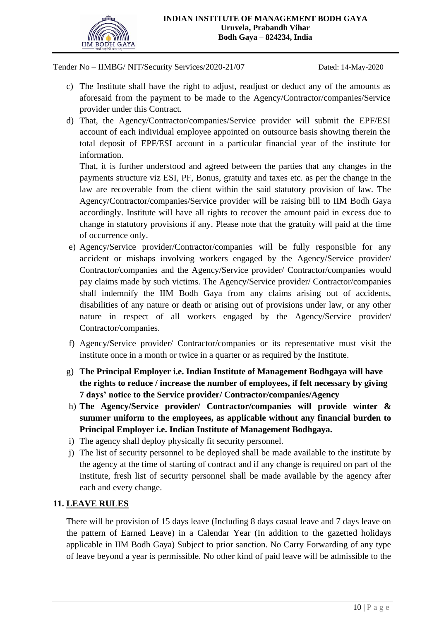

- c) The Institute shall have the right to adjust, readjust or deduct any of the amounts as aforesaid from the payment to be made to the Agency/Contractor/companies/Service provider under this Contract.
- d) That, the Agency/Contractor/companies/Service provider will submit the EPF/ESI account of each individual employee appointed on outsource basis showing therein the total deposit of EPF/ESI account in a particular financial year of the institute for information.

That, it is further understood and agreed between the parties that any changes in the payments structure viz ESI, PF, Bonus, gratuity and taxes etc. as per the change in the law are recoverable from the client within the said statutory provision of law. The Agency/Contractor/companies/Service provider will be raising bill to IIM Bodh Gaya accordingly. Institute will have all rights to recover the amount paid in excess due to change in statutory provisions if any. Please note that the gratuity will paid at the time of occurrence only.

- e) Agency/Service provider/Contractor/companies will be fully responsible for any accident or mishaps involving workers engaged by the Agency/Service provider/ Contractor/companies and the Agency/Service provider/ Contractor/companies would pay claims made by such victims. The Agency/Service provider/ Contractor/companies shall indemnify the IIM Bodh Gaya from any claims arising out of accidents, disabilities of any nature or death or arising out of provisions under law, or any other nature in respect of all workers engaged by the Agency/Service provider/ Contractor/companies.
- f) Agency/Service provider/ Contractor/companies or its representative must visit the institute once in a month or twice in a quarter or as required by the Institute.
- g) **The Principal Employer i.e. Indian Institute of Management Bodhgaya will have the rights to reduce / increase the number of employees, if felt necessary by giving 7 days' notice to the Service provider/ Contractor/companies/Agency**
- h) **The Agency/Service provider/ Contractor/companies will provide winter & summer uniform to the employees, as applicable without any financial burden to Principal Employer i.e. Indian Institute of Management Bodhgaya.**
- i) The agency shall deploy physically fit security personnel.
- j) The list of security personnel to be deployed shall be made available to the institute by the agency at the time of starting of contract and if any change is required on part of the institute, fresh list of security personnel shall be made available by the agency after each and every change.

## **11. LEAVE RULES**

There will be provision of 15 days leave (Including 8 days casual leave and 7 days leave on the pattern of Earned Leave) in a Calendar Year (In addition to the gazetted holidays applicable in IIM Bodh Gaya) Subject to prior sanction. No Carry Forwarding of any type of leave beyond a year is permissible. No other kind of paid leave will be admissible to the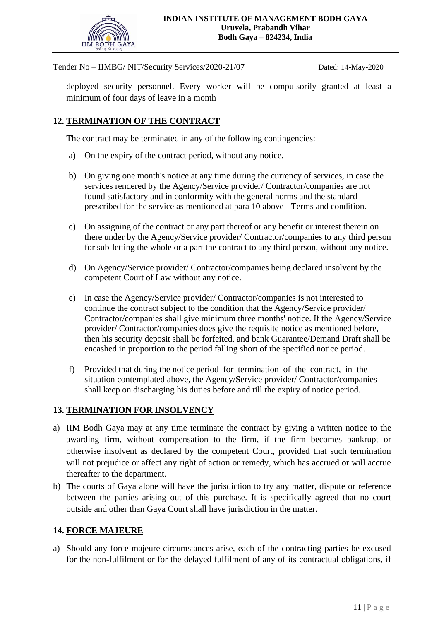

deployed security personnel. Every worker will be compulsorily granted at least a minimum of four days of leave in a month

## **12. TERMINATION OF THE CONTRACT**

The contract may be terminated in any of the following contingencies:

- a) On the expiry of the contract period, without any notice.
- b) On giving one month's notice at any time during the currency of services, in case the services rendered by the Agency/Service provider/ Contractor/companies are not found satisfactory and in conformity with the general norms and the standard prescribed for the service as mentioned at para 10 above - Terms and condition.
- c) On assigning of the contract or any part thereof or any benefit or interest therein on there under by the Agency/Service provider/ Contractor/companies to any third person for sub-letting the whole or a part the contract to any third person, without any notice.
- d) On Agency/Service provider/ Contractor/companies being declared insolvent by the competent Court of Law without any notice.
- e) In case the Agency/Service provider/ Contractor/companies is not interested to continue the contract subject to the condition that the Agency/Service provider/ Contractor/companies shall give minimum three months' notice. If the Agency/Service provider/ Contractor/companies does give the requisite notice as mentioned before, then his security deposit shall be forfeited, and bank Guarantee/Demand Draft shall be encashed in proportion to the period falling short of the specified notice period.
- f) Provided that during the notice period for termination of the contract, in the situation contemplated above, the Agency/Service provider/ Contractor/companies shall keep on discharging his duties before and till the expiry of notice period.

## **13. TERMINATION FOR INSOLVENCY**

- a) IIM Bodh Gaya may at any time terminate the contract by giving a written notice to the awarding firm, without compensation to the firm, if the firm becomes bankrupt or otherwise insolvent as declared by the competent Court, provided that such termination will not prejudice or affect any right of action or remedy, which has accrued or will accrue thereafter to the department.
- b) The courts of Gaya alone will have the jurisdiction to try any matter, dispute or reference between the parties arising out of this purchase. It is specifically agreed that no court outside and other than Gaya Court shall have jurisdiction in the matter.

#### **14. FORCE MAJEURE**

a) Should any force majeure circumstances arise, each of the contracting parties be excused for the non-fulfilment or for the delayed fulfilment of any of its contractual obligations, if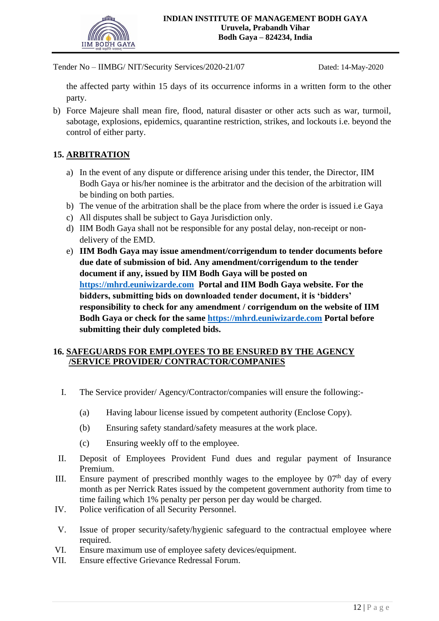

the affected party within 15 days of its occurrence informs in a written form to the other party.

b) Force Majeure shall mean fire, flood, natural disaster or other acts such as war, turmoil, sabotage, explosions, epidemics, quarantine restriction, strikes, and lockouts i.e. beyond the control of either party.

## **15. ARBITRATION**

- a) In the event of any dispute or difference arising under this tender, the Director, IIM Bodh Gaya or his/her nominee is the arbitrator and the decision of the arbitration will be binding on both parties.
- b) The venue of the arbitration shall be the place from where the order is issued i.e Gaya
- c) All disputes shall be subject to Gaya Jurisdiction only.
- d) IIM Bodh Gaya shall not be responsible for any postal delay, non-receipt or nondelivery of the EMD.
- e) **IIM Bodh Gaya may issue amendment/corrigendum to tender documents before due date of submission of bid. Any amendment/corrigendum to the tender document if any, issued by IIM Bodh Gaya will be posted on [https://mhrd.euniwizarde.com](https://mhrd.euniwizarde.com/) Portal and IIM Bodh Gaya website. For the bidders, submitting bids on downloaded tender document, it is 'bidders' responsibility to check for any amendment / corrigendum on the website of IIM Bodh Gaya or check for the same [https://mhrd.euniwizarde.com](https://mhrd.euniwizarde.com/) Portal before submitting their duly completed bids.**

## **16. SAFEGUARDS FOR EMPLOYEES TO BE ENSURED BY THE AGENCY /SERVICE PROVIDER/ CONTRACTOR/COMPANIES**

- I. The Service provider/ Agency/Contractor/companies will ensure the following:-
	- (a) Having labour license issued by competent authority (Enclose Copy).
	- (b) Ensuring safety standard/safety measures at the work place.
	- (c) Ensuring weekly off to the employee.
- II. Deposit of Employees Provident Fund dues and regular payment of Insurance Premium.
- III. Ensure payment of prescribed monthly wages to the employee by  $07<sup>th</sup>$  day of every month as per Nerrick Rates issued by the competent government authority from time to time failing which 1% penalty per person per day would be charged.
- IV. Police verification of all Security Personnel.
- V. Issue of proper security/safety/hygienic safeguard to the contractual employee where required.
- VI. Ensure maximum use of employee safety devices/equipment.
- VII. Ensure effective Grievance Redressal Forum.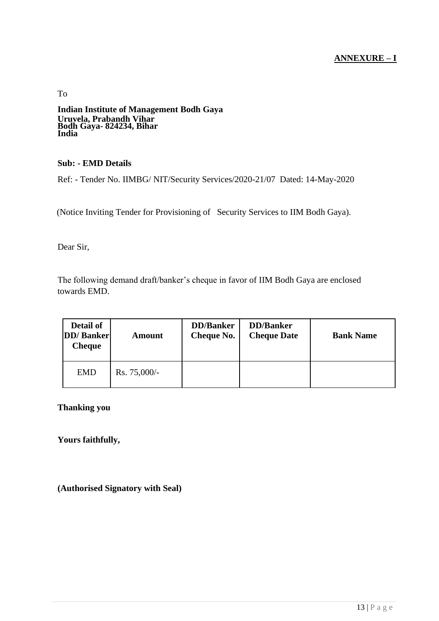## **ANNEXURE – I**

To **Indian Institute of Management Bodh Gaya Uruvela, Prabandh Vihar Bodh Gaya- 824234, Bihar India**

#### **Sub: - EMD Details**

Ref: - Tender No. IIMBG/ NIT/Security Services/2020-21/07 Dated: 14-May-2020

(Notice Inviting Tender for Provisioning of Security Services to IIM Bodh Gaya).

Dear Sir,

The following demand draft/banker's cheque in favor of IIM Bodh Gaya are enclosed towards EMD.

| Detail of<br><b>DD</b> / Banker<br><b>Cheque</b> | Amount         | <b>DD</b> /Banker<br><b>Cheque No.</b> | <b>DD</b> /Banker<br><b>Cheque Date</b> | <b>Bank Name</b> |
|--------------------------------------------------|----------------|----------------------------------------|-----------------------------------------|------------------|
| <b>EMD</b>                                       | $Rs. 75,000/-$ |                                        |                                         |                  |

**Thanking you**

**Yours faithfully,**

**(Authorised Signatory with Seal)**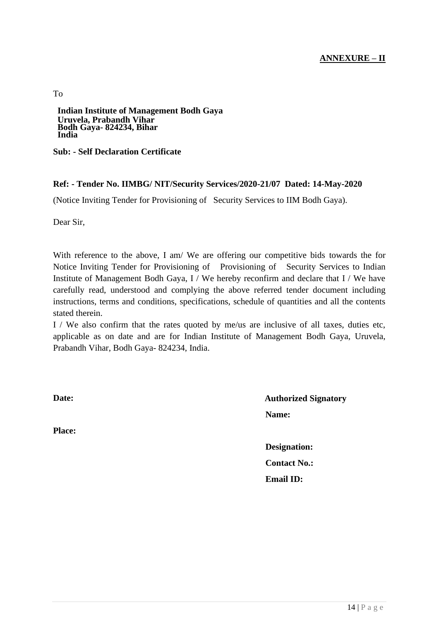## **ANNEXURE – II**

To

**Indian Institute of Management Bodh Gaya Uruvela, Prabandh Vihar Bodh Gaya- 824234, Bihar India**

**Sub: - Self Declaration Certificate**

#### **Ref: - Tender No. IIMBG/ NIT/Security Services/2020-21/07 Dated: 14-May-2020**

(Notice Inviting Tender for Provisioning of Security Services to IIM Bodh Gaya).

Dear Sir,

With reference to the above, I am/ We are offering our competitive bids towards the for Notice Inviting Tender for Provisioning of Provisioning of Security Services to Indian Institute of Management Bodh Gaya, I / We hereby reconfirm and declare that I / We have carefully read, understood and complying the above referred tender document including instructions, terms and conditions, specifications, schedule of quantities and all the contents stated therein.

I / We also confirm that the rates quoted by me/us are inclusive of all taxes, duties etc, applicable as on date and are for Indian Institute of Management Bodh Gaya, Uruvela, Prabandh Vihar, Bodh Gaya- 824234, India.

**Place:**

**Date: Authorized Signatory Name:**

> **Designation: Contact No.: Email ID:**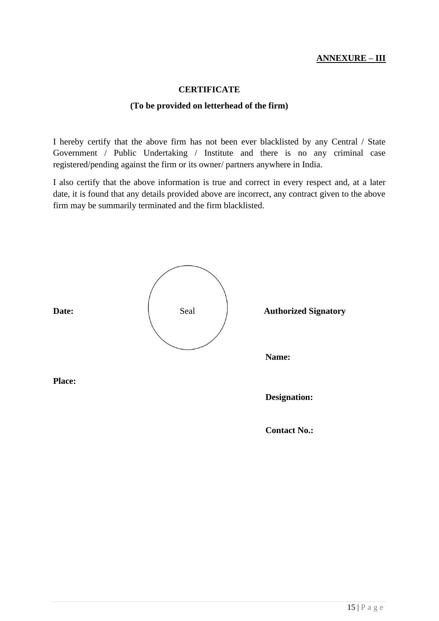## **ANNEXURE – III**

#### **CERTIFICATE**

#### **(To be provided on letterhead of the firm)**

I hereby certify that the above firm has not been ever blacklisted by any Central / State Government / Public Undertaking / Institute and there is no any criminal case registered/pending against the firm or its owner/ partners anywhere in India.

I also certify that the above information is true and correct in every respect and, at a later date, it is found that any details provided above are incorrect, any contract given to the above firm may be summarily terminated and the firm blacklisted.

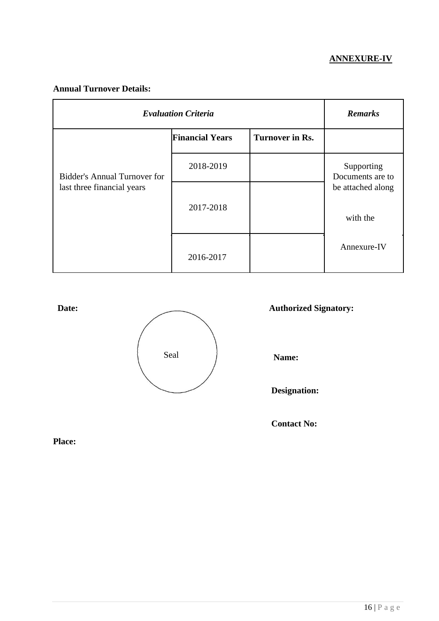## **ANNEXURE-IV**

## **Annual Turnover Details:**

| <b>Evaluation Criteria</b>          | <b>Remarks</b>         |                        |                                |
|-------------------------------------|------------------------|------------------------|--------------------------------|
|                                     | <b>Financial Years</b> | <b>Turnover in Rs.</b> |                                |
| <b>Bidder's Annual Turnover for</b> | 2018-2019              |                        | Supporting<br>Documents are to |
| last three financial years          | 2017-2018              |                        | be attached along              |
|                                     |                        |                        | with the                       |
|                                     | 2016-2017              |                        | Annexure-IV                    |



**Designation:**

**Contact No:**

**Place:**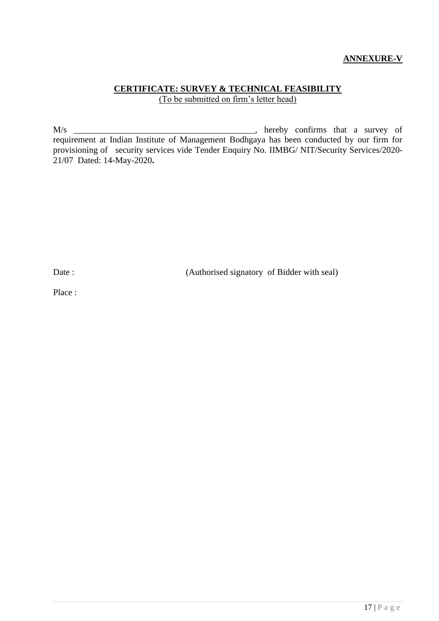## **ANNEXURE-V**

## **CERTIFICATE: SURVEY & TECHNICAL FEASIBILITY** (To be submitted on firm's letter head)

M/s \_\_\_\_\_\_\_\_\_\_\_\_\_\_\_\_\_\_\_\_\_\_\_\_\_\_\_\_\_\_\_\_\_\_\_\_\_\_\_\_\_, hereby confirms that a survey of requirement at Indian Institute of Management Bodhgaya has been conducted by our firm for provisioning of security services vide Tender Enquiry No. IIMBG/ NIT/Security Services/2020- 21/07 Dated: 14-May-2020**.**

Date : (Authorised signatory of Bidder with seal)

Place :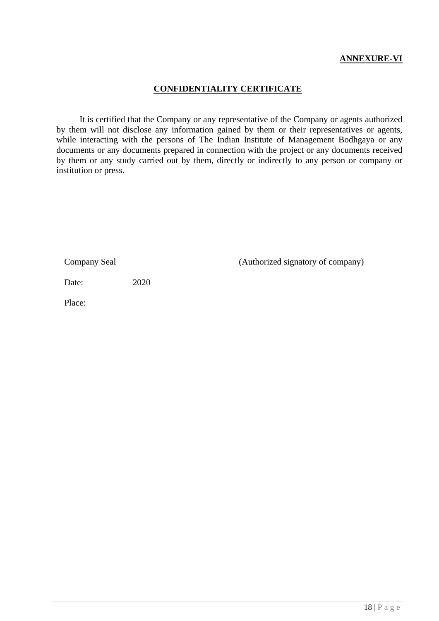## **ANNEXURE-VI**

#### **CONFIDENTIALITY CERTIFICATE**

It is certified that the Company or any representative of the Company or agents authorized by them will not disclose any information gained by them or their representatives or agents, while interacting with the persons of The Indian Institute of Management Bodhgaya or any documents or any documents prepared in connection with the project or any documents received by them or any study carried out by them, directly or indirectly to any person or company or institution or press.

Company Seal (Authorized signatory of company)

Date: 2020

Place: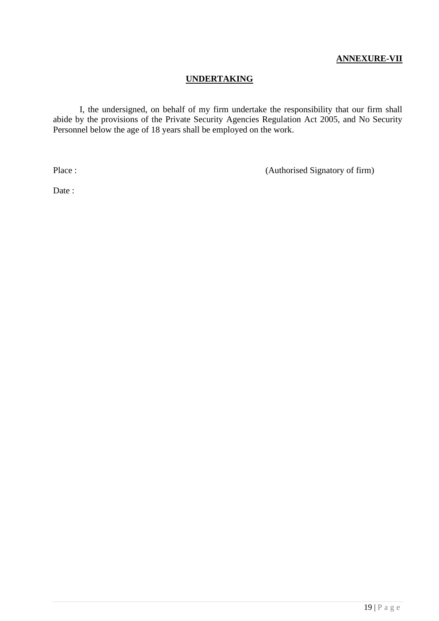## **ANNEXURE-VII**

# **UNDERTAKING**

I, the undersigned, on behalf of my firm undertake the responsibility that our firm shall abide by the provisions of the Private Security Agencies Regulation Act 2005, and No Security Personnel below the age of 18 years shall be employed on the work.

Place : (Authorised Signatory of firm)

Date: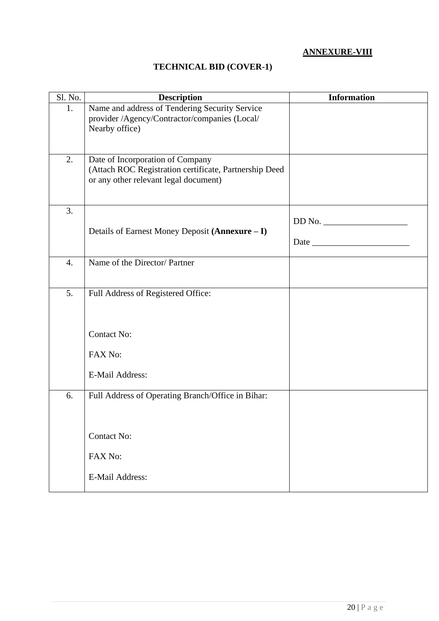## **ANNEXURE-VIII**

## **TECHNICAL BID (COVER-1)**

| Sl. No. | <b>Description</b>                                                                                                                  | <b>Information</b> |
|---------|-------------------------------------------------------------------------------------------------------------------------------------|--------------------|
| 1.      | Name and address of Tendering Security Service<br>provider /Agency/Contractor/companies (Local/<br>Nearby office)                   |                    |
| 2.      | Date of Incorporation of Company<br>(Attach ROC Registration certificate, Partnership Deed<br>or any other relevant legal document) |                    |
| 3.      |                                                                                                                                     |                    |
|         | Details of Earnest Money Deposit (Annexure - I)                                                                                     |                    |
|         |                                                                                                                                     |                    |
| 4.      | Name of the Director/ Partner                                                                                                       |                    |
| 5.      | Full Address of Registered Office:                                                                                                  |                    |
|         | <b>Contact No:</b><br>FAX No:<br><b>E-Mail Address:</b>                                                                             |                    |
|         |                                                                                                                                     |                    |
| 6.      | Full Address of Operating Branch/Office in Bihar:                                                                                   |                    |
|         | <b>Contact No:</b>                                                                                                                  |                    |
|         | FAX No:                                                                                                                             |                    |
|         | <b>E-Mail Address:</b>                                                                                                              |                    |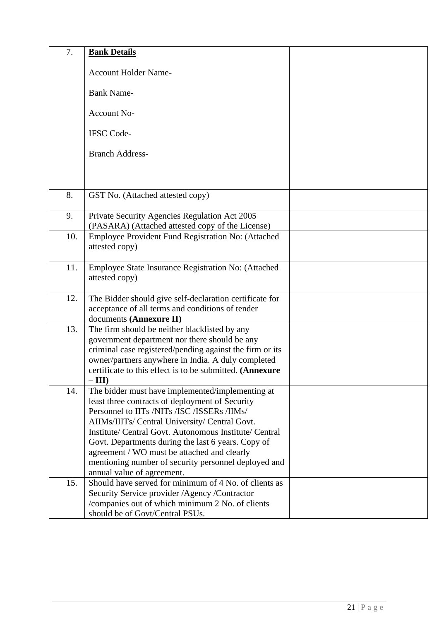| 7.  | <b>Bank Details</b>                                                                 |  |
|-----|-------------------------------------------------------------------------------------|--|
|     |                                                                                     |  |
|     | <b>Account Holder Name-</b>                                                         |  |
|     |                                                                                     |  |
|     | <b>Bank Name-</b>                                                                   |  |
|     | <b>Account No-</b>                                                                  |  |
|     |                                                                                     |  |
|     | <b>IFSC</b> Code-                                                                   |  |
|     | <b>Branch Address-</b>                                                              |  |
|     |                                                                                     |  |
|     |                                                                                     |  |
| 8.  | GST No. (Attached attested copy)                                                    |  |
|     |                                                                                     |  |
| 9.  | Private Security Agencies Regulation Act 2005                                       |  |
|     | (PASARA) (Attached attested copy of the License)                                    |  |
| 10. | Employee Provident Fund Registration No: (Attached                                  |  |
|     | attested copy)                                                                      |  |
|     |                                                                                     |  |
| 11. | Employee State Insurance Registration No: (Attached                                 |  |
|     | attested copy)                                                                      |  |
| 12. | The Bidder should give self-declaration certificate for                             |  |
|     | acceptance of all terms and conditions of tender                                    |  |
|     | documents (Annexure II)                                                             |  |
| 13. | The firm should be neither blacklisted by any                                       |  |
|     | government department nor there should be any                                       |  |
|     | criminal case registered/pending against the firm or its                            |  |
|     | owner/partners anywhere in India. A duly completed                                  |  |
|     | certificate to this effect is to be submitted. (Annexure                            |  |
|     | $-III$                                                                              |  |
| 14. | The bidder must have implemented/implementing at                                    |  |
|     | least three contracts of deployment of Security                                     |  |
|     | Personnel to IITs /NITs /ISC /ISSERs /IIMs/                                         |  |
|     | AIIMs/IIITs/ Central University/ Central Govt.                                      |  |
|     | Institute/ Central Govt. Autonomous Institute/ Central                              |  |
|     | Govt. Departments during the last 6 years. Copy of                                  |  |
|     | agreement / WO must be attached and clearly                                         |  |
|     | mentioning number of security personnel deployed and                                |  |
|     | annual value of agreement.                                                          |  |
| 15. | Should have served for minimum of 4 No. of clients as                               |  |
|     | Security Service provider / Agency / Contractor                                     |  |
|     | /companies out of which minimum 2 No. of clients<br>should be of Govt/Central PSUs. |  |
|     |                                                                                     |  |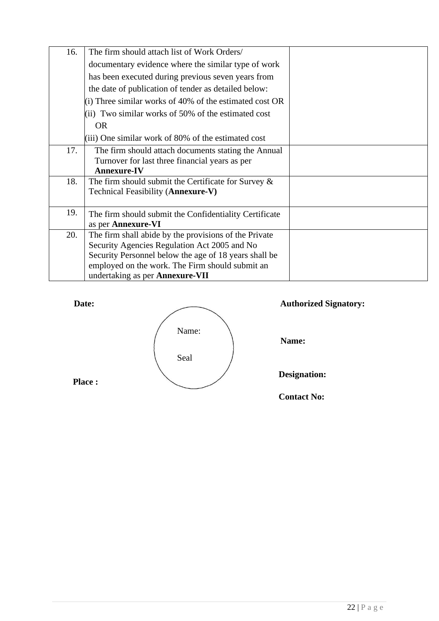| 16. | The firm should attach list of Work Orders/             |  |
|-----|---------------------------------------------------------|--|
|     | documentary evidence where the similar type of work     |  |
|     | has been executed during previous seven years from      |  |
|     | the date of publication of tender as detailed below:    |  |
|     | (i) Three similar works of 40% of the estimated cost OR |  |
|     | (ii) Two similar works of 50% of the estimated cost     |  |
|     | <b>OR</b>                                               |  |
|     | (iii) One similar work of 80% of the estimated cost     |  |
| 17. | The firm should attach documents stating the Annual     |  |
|     | Turnover for last three financial years as per          |  |
|     | <b>Annexure-IV</b>                                      |  |
| 18. | The firm should submit the Certificate for Survey $\&$  |  |
|     | Technical Feasibility (Annexure-V)                      |  |
|     |                                                         |  |
| 19. | The firm should submit the Confidentiality Certificate  |  |
|     | as per Annexure-VI                                      |  |
| 20. | The firm shall abide by the provisions of the Private   |  |
|     | Security Agencies Regulation Act 2005 and No            |  |
|     | Security Personnel below the age of 18 years shall be   |  |
|     | employed on the work. The Firm should submit an         |  |
|     | undertaking as per Annexure-VII                         |  |